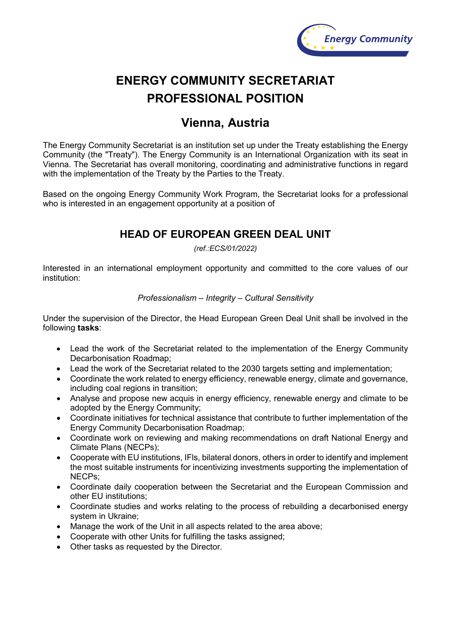

# **ENERGY COMMUNITY SECRETARIAT PROFESSIONAL POSITION**

## **Vienna, Austria**

The Energy Community Secretariat is an institution set up under the Treaty establishing the Energy Community (the "Treaty"). The Energy Community is an International Organization with its seat in Vienna. The Secretariat has overall monitoring, coordinating and administrative functions in regard with the implementation of the Treaty by the Parties to the Treaty.

Based on the ongoing Energy Community Work Program, the Secretariat looks for a professional who is interested in an engagement opportunity at a position of

### **HEAD OF EUROPEAN GREEN DEAL UNIT**

*(ref.:ECS/01/2022)*

Interested in an international employment opportunity and committed to the core values of our institution:

#### *Professionalism – Integrity – Cultural Sensitivity*

Under the supervision of the Director, the Head European Green Deal Unit shall be involved in the following **tasks**:

- Lead the work of the Secretariat related to the implementation of the Energy Community Decarbonisation Roadmap;
- Lead the work of the Secretariat related to the 2030 targets setting and implementation;
- Coordinate the work related to energy efficiency, renewable energy, climate and governance, including coal regions in transition;
- Analyse and propose new acquis in energy efficiency, renewable energy and climate to be adopted by the Energy Community;
- Coordinate initiatives for technical assistance that contribute to further implementation of the Energy Community Decarbonisation Roadmap;
- Coordinate work on reviewing and making recommendations on draft National Energy and Climate Plans (NECPs);
- Cooperate with EU institutions, IFls, bilateral donors, others in order to identify and implement the most suitable instruments for incentivizing investments supporting the implementation of NECPs;
- Coordinate daily cooperation between the Secretariat and the European Commission and other EU institutions;
- Coordinate studies and works relating to the process of rebuilding a decarbonised energy system in Ukraine;
- Manage the work of the Unit in all aspects related to the area above;
- Cooperate with other Units for fulfilling the tasks assigned;
- Other tasks as requested by the Director.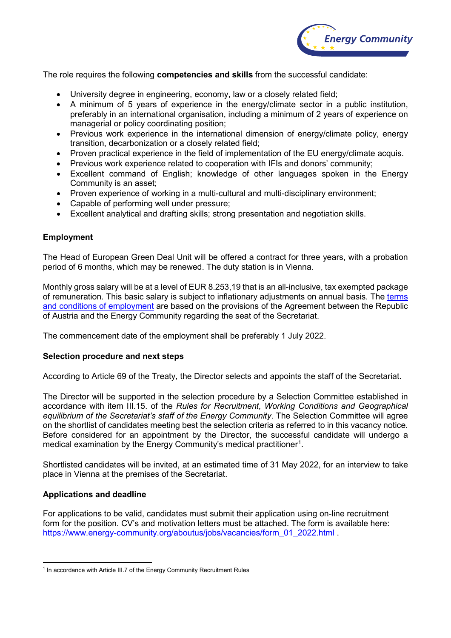

The role requires the following **competencies and skills** from the successful candidate:

- University degree in engineering, economy, law or a closely related field;
- A minimum of 5 years of experience in the energy/climate sector in a public institution, preferably in an international organisation, including a minimum of 2 years of experience on managerial or policy coordinating position;
- Previous work experience in the international dimension of energy/climate policy, energy transition, decarbonization or a closely related field;
- Proven practical experience in the field of implementation of the EU energy/climate acquis.
- Previous work experience related to cooperation with IFIs and donors' community;
- Excellent command of English; knowledge of other languages spoken in the Energy Community is an asset;
- Proven experience of working in a multi-cultural and multi-disciplinary environment;
- Capable of performing well under pressure;
- Excellent analytical and drafting skills; strong presentation and negotiation skills.

#### **Employment**

The Head of European Green Deal Unit will be offered a contract for three years, with a probation period of 6 months, which may be renewed. The duty station is in Vienna.

Monthly gross salary will be at a level of EUR 8.253,19 that is an all-inclusive, tax exempted package of remuneration. This basic salary is subject to inflationary adjustments on annual basis. The [terms](https://www.energy-community.org/dam/jcr:cc5c53fa-2e7e-4e01-a562-db5eb812c07c/Staff_regulations.pdf)  [and conditions of employment](https://www.energy-community.org/dam/jcr:cc5c53fa-2e7e-4e01-a562-db5eb812c07c/Staff_regulations.pdf) are based on the provisions of the Agreement between the Republic of Austria and the Energy Community regarding the seat of the Secretariat.

The commencement date of the employment shall be preferably 1 July 2022.

#### **Selection procedure and next steps**

According to Article 69 of the Treaty, the Director selects and appoints the staff of the Secretariat.

The Director will be supported in the selection procedure by a Selection Committee established in accordance with item III.15. of the *Rules for Recruitment, Working Conditions and Geographical equilibrium of the Secretariat's staff of the Energy Community*. The Selection Committee will agree on the shortlist of candidates meeting best the selection criteria as referred to in this vacancy notice. Before considered for an appointment by the Director, the successful candidate will undergo a medical examination by the Energy Community's medical practitioner $^{\text{\tiny{\text{1}}}}$ .

Shortlisted candidates will be invited, at an estimated time of 31 May 2022, for an interview to take place in Vienna at the premises of the Secretariat.

#### **Applications and deadline**

For applications to be valid, candidates must submit their application using on-line recruitment form for the position. CV's and motivation letters must be attached. The form is available here: [https://www.energy-community.org/aboutus/jobs/vacancies/form\\_01\\_2022.html](https://www.energy-community.org/aboutus/jobs/vacancies/form_01_2022.html)

<span id="page-1-0"></span><sup>&</sup>lt;sup>1</sup> In accordance with Article III.7 of the Energy Community Recruitment Rules